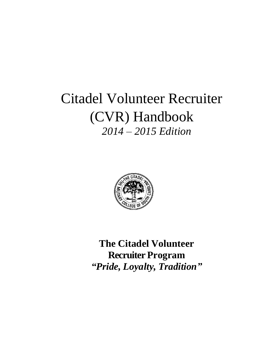# Citadel Volunteer Recruiter (CVR) Handbook *2014 – 2015 Edition*



**The Citadel Volunteer Recruiter Program** *"Pride, Loyalty, Tradition"*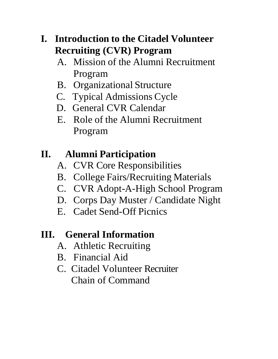## **I. Introduction to the Citadel Volunteer Recruiting (CVR) Program**

- A. Mission of the Alumni Recruitment Program
- B. Organizational Structure
- C. Typical Admissions Cycle
- D. General CVR Calendar
- E. Role of the Alumni Recruitment Program

## **II. Alumni Participation**

- A. CVR Core Responsibilities
- B. College Fairs/Recruiting Materials
- C. CVR Adopt-A-High School Program
- D. Corps Day Muster / Candidate Night
- E. Cadet Send-Off Picnics

## **III. General Information**

- A. Athletic Recruiting
- B. Financial Aid
- C. Citadel Volunteer Recruiter Chain of Command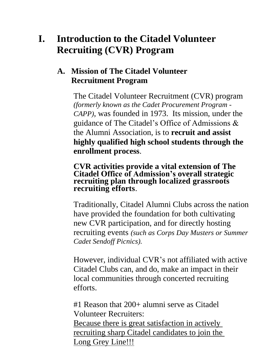## **I. Introduction to the Citadel Volunteer Recruiting (CVR) Program**

### **A. Mission of The Citadel Volunteer Recruitment Program**

The Citadel Volunteer Recruitment (CVR) program *(formerly known as the Cadet Procurement Program - CAPP),* was founded in 1973. Its mission, under the guidance of The Citadel's Office of Admissions & the Alumni Association, is to **recruit and assist highly qualified high school students through the enrollment process**.

**CVR activities provide a vital extension of The Citadel Office of Admission's overall strategic recruiting plan through localized grassroots recruiting efforts**.

Traditionally, Citadel Alumni Clubs across the nation have provided the foundation for both cultivating new CVR participation, and for directly hosting recruiting events *(such as Corps Day Musters or Summer Cadet Sendoff Picnics).*

However, individual CVR's not affiliated with active Citadel Clubs can, and do, make an impact in their local communities through concerted recruiting efforts.

#1 Reason that 200+ alumni serve as Citadel Volunteer Recruiters: Because there is great satisfaction in actively

recruiting sharp Citadel candidates to join the Long Grey Line!!!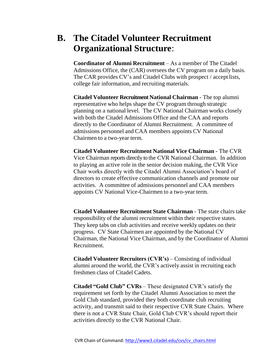### **B. The Citadel Volunteer Recruitment Organizational Structure**:

**Coordinator of Alumni Recruitment** – As a member of The Citadel Admissions Office, the (CAR) oversees the CV program on a daily basis. The CAR provides CV's and Citadel Clubs with prospect / accept lists, college fair information, and recruiting materials.

**Citadel Volunteer Recruitment National Chairman** - The top alumni representative who helps shape the CV program through strategic planning on a national level. The CV National Chairman works closely with both the Citadel Admissions Office and the CAA and reports directly to the Coordinator of Alumni Recruitment. A committee of admissions personnel and CAA members appoints CV National Chairmen to a two-year term.

**Citadel Volunteer Recruitment National Vice Chairman** - The CVR Vice Chairman reports directly to the CVR National Chairman. In addition to playing an active role in the senior decision making, the CVR Vice Chair works directly with the Citadel Alumni Association's board of directors to create effective communication channels and promote our activities. A committee of admissions personnel and CAA members appoints CV National Vice-Chairmen to a two-year term.

**Citadel Volunteer Recruitment State Chairman** - The state chairs take responsibility of the alumni recruitment within their respective states. They keep tabs on club activities and receive weekly updates on their progress. CV State Chairmen are appointed by the National CV Chairman, the National Vice Chairman, and by the Coordinator of Alumni Recruitment.

**Citadel Volunteer Recruiters (CVR's)** – Consisting of individual alumni around the world, the CVR's actively assist in recruiting each freshmen class of Citadel Cadets.

**Citadel "Gold Club" CVRs** – These designated CVR's satisfy the requirement set forth by the Citadel Alumni Association to meet the Gold Club standard, provided they both coordinate club recruiting activity, and transmit said to their respective CVR State Chairs. Where there is not a CVR State Chair, Gold Club CVR's should report their activities directly to the CVR National Chair.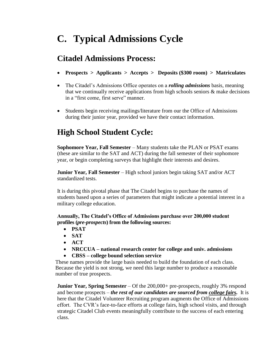## **C. Typical Admissions Cycle**

#### **Citadel Admissions Process:**

- **Prospects > Applicants > Accepts > Deposits (\$300 room) > Matriculates**
- The Citadel's Admissions Office operates on a *rolling admissions* basis, meaning that we continually receive applications from high schools seniors  $\&$  make decisions in a "first come, first serve" manner.
- Students begin receiving mailings/literature from our the Office of Admissions during their junior year, provided we have their contact information.

### **High School Student Cycle:**

**Sophomore Year, Fall Semester** – Many students take the PLAN or PSAT exams (these are similar to the SAT and ACT) during the fall semester of their sophomore year, or begin completing surveys that highlight their interests and desires.

**Junior Year, Fall Semester** – High school juniors begin taking SAT and/or ACT standardized tests.

It is during this pivotal phase that The Citadel begins to purchase the names of students based upon a series of parameters that might indicate a potential interest in a military college education.

**Annually, The Citadel's Office of Admissions purchase over 200,000 student profiles (***pre-prospects***) from the following sources:**

- **PSAT**
- **SAT**
- **ACT**
- **NRCCUA – national research center for college and univ. admissions**
- **CBSS – college bound selection service**

These names provide the large basis needed to build the foundation of each class. Because the yield is not strong, we need this large number to produce a reasonable number of true prospects.

**Junior Year, Spring Semester** – Of the 200,000+ pre-prospects, roughly 3% respond and become prospects – *the rest of our candidates are sourced from college fairs.* It is here that the Citadel Volunteer Recruiting program augments the Office of Admissions effort. The CVR's face-to-face efforts at college fairs, high school visits, and through strategic Citadel Club events meaningfully contribute to the success of each entering class.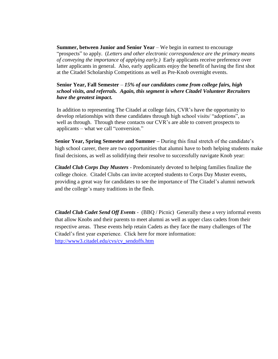**Summer, between Junior and Senior Year** – We begin in earnest to encourage "prospects" to apply. (*Letters and other electronic correspondence are the primary means of conveying the importance of applying early.)* Early applicants receive preference over latter applicants in general. Also, early applicants enjoy the benefit of having the first shot at the Citadel Scholarship Competitions as well as Pre-Knob overnight events.

#### **Senior Year, Fall Semester** – *15% of our candidates come from college fairs, high school visits, and referrals. Again, this segment is where Citadel Volunteer Recruiters have the greatest impact.*

In addition to representing The Citadel at college fairs, CVR's have the opportunity to develop relationships with these candidates through high school visits/ "adoptions", as well as through. Through these contacts our CVR's are able to convert prospects to applicants – what we call "conversion."

**Senior Year, Spring Semester and Summer –** During this final stretch of the candidate's high school career, there are two opportunities that alumni have to both helping students make final decisions, as well as solidifying their resolve to successfully navigate Knob year:

*Citadel Club Corps Day Musters* - Predominately devoted to helping families finalize the college choice. Citadel Clubs can invite accepted students to Corps Day Muster events, providing a great way for candidates to see the importance of The Citadel's alumni network and the college's many traditions in the flesh.

*Citadel Club Cadet Send Off Events* - (BBQ / Picnic) Generally these a very informal events that allow Knobs and their parents to meet alumni as well as upper class cadets from their respective areas. These events help retain Cadets as they face the many challenges of The Citadel's first year experience. Click here for more information: [http://www3.citadel.edu/cvs/cv\\_sendoffs.htm](http://www3.citadel.edu/cvs/cv_sendoffs.htm)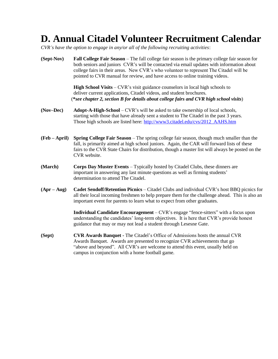## **D. Annual Citadel Volunteer Recruitment Calendar**

*CVR's have the option to engage in any/or all of the following recruiting activities*:

**(Sept-Nov) Fall College Fair Season** – The fall college fair season is the primary college fair season for both seniors and juniors CVR's will be contacted via email updates with information about college fairs in their areas. New CVR's who volunteer to represent The Citadel will be pointed to CVR manual for review, and have access to online training videos. **High School Visits – CVR's visit guidance counselors in local high schools to** 

deliver current applications, Citadel videos, and student brochures. (**\****see chapter 2, section B for details about college fairs and CVR high school visits*)

- **(Nov–Dec) Adopt-A-High-School** CVR's will be asked to take ownership of local schools, starting with those that have already sent a student to The Citadel in the past 3 years. Those high schools are listed here: [http://www3.citadel.edu/cvs/2012\\_AAHS.htm](http://www3.citadel.edu/cvs/2012_AAHS.htm)
- **(Feb – April) Spring College Fair Season** The spring college fair season, though much smaller than the fall, is primarily aimed at high school juniors. Again, the CAR will forward lists of these fairs to the CVR State Chairs for distribution, though a master list will always be posted on the CVR website.
- **(March) Corps Day Muster Events** Typically hosted by Citadel Clubs, these dinners are important in answering any last minute questions as well as firming students' determination to attend The Citadel.
- **(Apr – Aug) Cadet Sendoff/Retention Picnics**  Citadel Clubs and individual CVR's host BBQ picnics for all their local incoming freshmen to help prepare them for the challenge ahead. This is also an important event for parents to learn what to expect from other graduates.

**Individual Candidate Encouragement** – CVR's engage "fence-sitters" with a focus upon understanding the candidates' long-term objectives. It is here that CVR's provide honest guidance that may or may not lead a student through Lesesne Gate.

**(Sept) CVR Awards Banquet -** The Citadel's Office of Admissions hosts the annual CVR Awards Banquet. Awards are presented to recognize CVR achievements that go "above and beyond". All CVR's are welcome to attend this event, usually held on campus in conjunction with a home football game.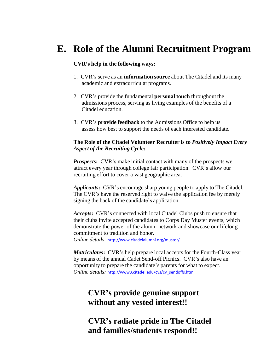### **E. Role of the Alumni Recruitment Program**

#### **CVR's help in the following ways:**

- 1. CVR's serve as an **information source** about The Citadel and its many academic and extracurricular programs.
- 2. CVR's provide the fundamental **personal touch** throughout the admissions process, serving as living examples of the benefits of a Citadel education.
- 3. CVR's **provide feedback** to the Admissions Office to help us assess how best to support the needs of each interested candidate.

#### **The Role of the Citadel Volunteer Recruiter is to** *Positively Impact Every Aspect of the Recruiting Cycle***:**

*Prospects*: CVR's make initial contact with many of the prospects we attract every year through college fair participation. CVR's allow our recruiting effort to cover a vast geographic area.

*Applicants***:** CVR's encourage sharp young people to apply to The Citadel. The CVR's have the reserved right to waive the application fee by merely signing the back of the candidate's application.

*Accepts***:** CVR's connected with local Citadel Clubs push to ensure that their clubs invite accepted candidates to Corps Day Muster events, which demonstrate the power of the alumni network and showcase our lifelong commitment to tradition and honor.

*Online details:* <http://www.citadelalumni.org/muster/>

*Matriculates***:** CVR's help prepare local accepts for the Fourth-Class year by means of the annual Cadet Send-off Picnics. CVR's also have an opportunity to prepare the candidate's parents for what to expect. *Online details:* [http://www3.citadel.edu/cvs/cv\\_sendoffs.htm](http://www3.citadel.edu/cvs/cv_sendoffs.htm)

#### **CVR's provide genuine support without any vested interest!!**

#### **CVR's radiate pride in The Citadel and families/students respond!!**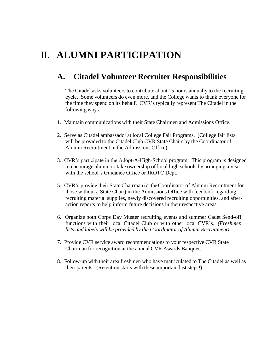## II. **ALUMNI PARTICIPATION**

#### **A. Citadel Volunteer Recruiter Responsibilities**

The Citadel asks volunteers to contribute about 15 hours annually to the recruiting cycle. Some volunteers do even more, and the College wants to thank everyone for the time they spend on its behalf. CVR's typically represent The Citadel in the following ways:

- 1. Maintain communications with their State Chairmen and Admissions Office.
- 2. Serve as Citadel ambassador at local College Fair Programs. (College fair lists will be provided to the Citadel Club CVR State Chairs by the Coordinator of Alumni Recruitment in the Admissions Office)
- 3. CVR's participate in the Adopt-A-High-School program. This program is designed to encourage alumni to take ownership of local high schools by arranging a visit with the school's Guidance Office or JROTC Dept.
- 5. CVR's provide their State Chairman (or the Coordinator of Alumni Recruitment for those without a State Chair) in the Admissions Office with feedback regarding recruiting material supplies, newly discovered recruiting opportunities, and afteraction reports to help inform future decisions in their respective areas.
- 6. Organize both Corps Day Muster recruiting events and summer Cadet Send-off functions with their local Citadel Club or with other local CVR's. *(Freshmen lists and labels will be provided by the Coordinator of Alumni Recruitment)*
- 7. Provide CVR service award recommendationsto your respective CVR State Chairman for recognition at the annual CVR Awards Banquet.
- 8. Follow-up with their area freshmen who have matriculated to The Citadel as well as their parents. (Retention starts with these important last steps!)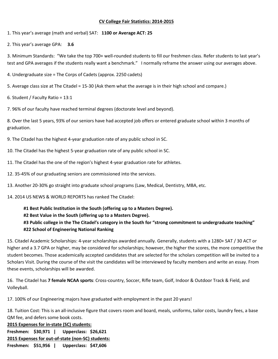#### **CV College Fair Statistics: 2014-2015**

1. This year's average (math and verbal) SAT: **1100 or Average ACT: 25**

2. This year's average GPA: **3.6**

3. Minimum Standards: "We take the top 700+ well-rounded students to fill our freshmen class. Refer students to last year's test and GPA averages if the students really want a benchmark." I normally reframe the answer using our averages above.

- 4. Undergraduate size = The Corps of Cadets (approx. 2250 cadets)
- 5. Average class size at The Citadel = 15-30 (Ask them what the average is in their high school and compare.)
- 6. Student / Faculty Ratio = 13:1
- 7. 96% of our faculty have reached terminal degrees (doctorate level and beyond).

8. Over the last 5 years, 93% of our seniors have had accepted job offers or entered graduate school within 3 months of graduation.

- 9. The Citadel has the highest 4-year graduation rate of any public school in SC.
- 10. The Citadel has the highest 5-year graduation rate of any public school in SC.
- 11. The Citadel has the one of the region's highest 4-year graduation rate for athletes.
- 12. 35-45% of our graduating seniors are commissioned into the services.
- 13. Another 20-30% go straight into graduate school programs (Law, Medical, Dentistry, MBA, etc.
- 14. 2014 US NEWS & WORLD REPORTS has ranked The Citadel:

#### **#1 Best Public Institution in the South (offering up to a Masters Degree). #2 Best Value in the South (offering up to a Masters Degree). #3 Public college in the The Citadel's category in the South for "strong commitment to undergraduate teaching" #22 School of Engineering National Ranking**

15. Citadel Academic Scholarships: 4-year scholarships awarded annually. Generally, students with a 1280+ SAT / 30 ACT or higher and a 3.7 GPA or higher, may be considered for scholarships; however, the higher the scores, the more competitive the student becomes. Those academically accepted candidates that are selected for the scholars competition will be invited to a Scholars Visit. During the course of the visit the candidates will be interviewed by faculty members and write an essay. From these events, scholarships will be awarded.

16. The Citadel has **7 female NCAA sports**: Cross-country, Soccer, Rifle team, Golf, Indoor & Outdoor Track & Field, and Volleyball.

17. 100% of our Engineering majors have graduated with employment in the past 20 years!

18. Tuition Cost: This is an all-inclusive figure that covers room and board, meals, uniforms, tailor costs, laundry fees, a base QM fee, and defers some book costs.

**2015 Expenses for in-state (SC) students: Freshmen: \$30,971 | Upperclass: \$26,621 2015 Expenses for out-of-state (non-SC) students: Freshmen: \$51,956 | Upperclass: \$47,606**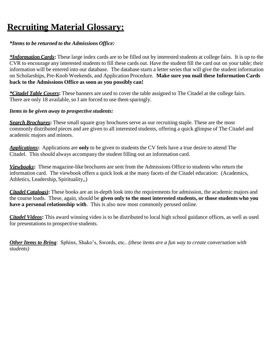## **Recruiting Material Glossary:**

#### *\*Items to be returned to the Admissions Office:*

*\*Information Cards***:** These large index cards are to be filled out by interested students at college fairs. It is up to the CVR to encourage any interested students to fill these cards out. Have the student fill the card out on your table; their information will be entered into our database. The database starts a letter series that will give the student information on Scholarships, Pre-Knob Weekends, and Application Procedure. **Make sure you mail these Information Cards back to the Admissions Office as soon as you possibly can!**

*\*Citadel Table Covers***:** These banners are used to cover the table assigned to The Citadel at the college fairs. There are only 18 available, so I am forced to use them sparingly.

#### *Items to be given away to prospective students:*

*Search Brochures***:** These small square gray brochures serve as our recruiting staple. These are the most commonly distributed pieces and are given to all interested students, offering a quick glimpse of The Citadel and academic majors and minors.

*Applications***:** Applications are **only** to be given to students the CV feels have a true desire to attend The Citadel. This should always accompany the student filling out an information card.

*Viewbooks***:** These magazine-like brochures are sent from the Admissions Office to students who return the information card. The viewbook offers a quick look at the many facets of the Citadel education: (Academics, Athletics, Leadership, Spirituality,,)

*Citadel Catalogs*): These books are an in-depth look into the requirements for admission, the academic majors and the course loads. These, again, should be **given only to the most interested students, or those students who you have a personal relationship with**. This is also now most commonly perused online.

*Citadel Videos***:** This award winning video is to be distributed to local high school guidance offices, as well as used for presentations to prospective students.

*Other Items to Bring*: Sphinx, Shako's, Swords, etc.. *(these items are a fun way to create conversation with students)*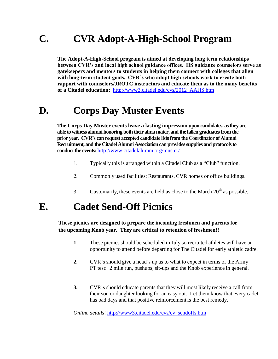## **C. CVR Adopt-A-High-School Program**

**The Adopt-A-High-School program is aimed at developing long term relationships between CVR's and local high school guidance offices. HS guidance counselors serve as gatekeepers and mentors to students in helping them connect with colleges that align with long-term student goals. CVR's who adopt high schools work to create both rapport with counselors/JROTC instructors and educate them as to the many benefits of a Citadel education:** [http://www3.citadel.edu/cvs/2012\\_AAHS.htm](http://www3.citadel.edu/cvs/2012_AAHS.htm)

### **D. Corps Day Muster Events**

**The Corps Day Muster events leave a lasting impression upon candidates, as they are able to witness alumni honoring both their alma mater, and the fallen graduates from the prior year. CVR's can request accepted candidate lists from the Coordinator of Alumni Recruitment, and the Citadel Alumni Association can provides supplies and protocols to conduct the events:** <http://www.citadelalumni.org/muster/>

- 1. Typically this is arranged within a Citadel Club as a "Club" function.
- 2. Commonly used facilities: Restaurants, CVR homes or office buildings.
- 3. Customarily, these events are held as close to the March  $20<sup>th</sup>$  as possible.

### **E. Cadet Send-Off Picnics**

**These picnics are designed to prepare the incoming freshmen and parents for the upcoming Knob year. They are critical to retention of freshmen!!**

- **1.** These picnics should be scheduled in July so recruited athletes will have an opportunity to attend before departing for The Citadel for early athletic cadre.
- **2.** CVR's should give a head's up as to what to expect in terms of the Army PT test: 2 mile run, pushups, sit-ups and the Knob experience in general.
- **3.** CVR's should educate parents that they will most likely receive a call from their son or daughter looking for an easy out. Let them know that every cadet has bad days and that positive reinforcement is the best remedy.

*Online details*: [http://www3.citadel.edu/cvs/cv\\_sendoffs.htm](http://www3.citadel.edu/cvs/cv_sendoffs.htm)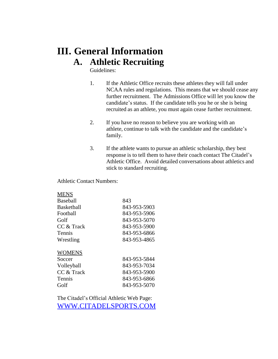## **III. General Information A. Athletic Recruiting**

Guidelines:

- 1. If the Athletic Office recruits these athletes they will fall under NCAA rules and regulations. This means that we should cease any further recruitment. The Admissions Office will let you know the candidate's status. If the candidate tells you he or she is being recruited as an athlete, you must again cease further recruitment.
- 2. If you have no reason to believe you are working with an athlete, continue to talk with the candidate and the candidate's family.
- 3. If the athlete wants to pursue an athletic scholarship, they best response is to tell them to have their coach contact The Citadel's Athletic Office. Avoid detailed conversations about athletics and stick to standard recruiting.

Athletic Contact Numbers:

| <b>MENS</b>       |              |
|-------------------|--------------|
| <b>Baseball</b>   | 843          |
| <b>Basketball</b> | 843-953-5903 |
| Football          | 843-953-5906 |
| Golf              | 843-953-5070 |
| CC & Track        | 843-953-5900 |
| <b>Tennis</b>     | 843-953-6866 |
| Wrestling         | 843-953-4865 |
| <b>WOMENS</b>     |              |
| Soccer            | 843-953-5844 |
| Volleyball        | 843-953-7034 |
| CC & Track        | 843-953-5900 |
| Tennis            | 843-953-6866 |
| Golf              | 843-953-5070 |
|                   |              |

The Citadel's Official Athletic Web Page: [WWW.CITADELSPORTS.COM](http://www.citadelsports.com/)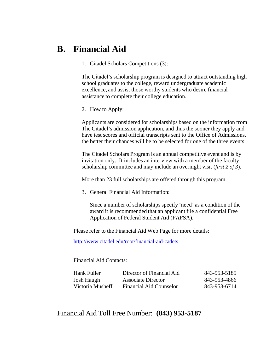#### **B. Financial Aid**

1. Citadel Scholars Competitions (3):

The Citadel's scholarship program is designed to attract outstanding high school graduates to the college, reward undergraduate academic excellence, and assist those worthy students who desire financial assistance to complete their college education.

2. How to Apply:

Applicants are considered for scholarships based on the information from The Citadel's admission application, and thus the sooner they apply and have test scores and official transcripts sent to the Office of Admissions, the better their chances will be to be selected for one of the three events.

The Citadel Scholars Program is an annual competitive event and is by invitation only. It includes an interview with a member of the faculty scholarship committee and may include an overnight visit (*first 2 of 3*).

More than 23 full scholarships are offered through this program.

3. General Financial Aid Information:

Since a number of scholarships specify 'need' as a condition of the award it is recommended that an applicant file a confidential Free Application of Federal Student Aid (FAFSA).

Please refer to the Financial Aid Web Page for more details:

<http://www.citadel.edu/root/financial-aid-cadets>

Financial Aid Contacts:

| Hank Fuller      | Director of Financial Aid | 843-953-5185 |
|------------------|---------------------------|--------------|
| Josh Haugh       | Associate Director        | 843-953-4866 |
| Victoria Musheff | Financial Aid Counselor   | 843-953-6714 |

Financial Aid Toll Free Number: **(843) 953-5187**